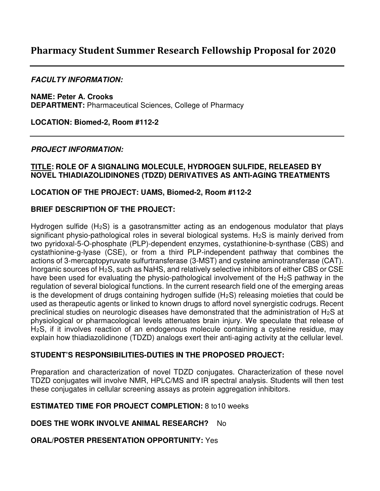# **Pharmacy Student Summer Research Fellowship Proposal for 2020**

## **FACULTY INFORMATION:**

**NAME: Peter A. Crooks DEPARTMENT:** Pharmaceutical Sciences, College of Pharmacy

**LOCATION: Biomed-2, Room #112-2**

## **PROJECT INFORMATION:**

#### **TITLE: ROLE OF A SIGNALING MOLECULE, HYDROGEN SULFIDE, RELEASED BY NOVEL THIADIAZOLIDINONES (TDZD) DERIVATIVES AS ANTI-AGING TREATMENTS**

## **LOCATION OF THE PROJECT: UAMS, Biomed-2, Room #112-2**

## **BRIEF DESCRIPTION OF THE PROJECT:**

Hydrogen sulfide  $(H_2S)$  is a gasotransmitter acting as an endogenous modulator that plays significant physio-pathological roles in several biological systems. H<sub>2</sub>S is mainly derived from two pyridoxal-5-O-phosphate (PLP)-dependent enzymes, cystathionine-b-synthase (CBS) and cystathionine-g-lyase (CSE), or from a third PLP-independent pathway that combines the actions of 3-mercaptopyruvate sulfurtransferase (3-MST) and cysteine aminotransferase (CAT). Inorganic sources of H2S, such as NaHS, and relatively selective inhibitors of either CBS or CSE have been used for evaluating the physio-pathological involvement of the H<sub>2</sub>S pathway in the regulation of several biological functions. In the current research field one of the emerging areas is the development of drugs containing hydrogen sulfide (H<sub>2</sub>S) releasing moieties that could be used as therapeutic agents or linked to known drugs to afford novel synergistic codrugs. Recent preclinical studies on neurologic diseases have demonstrated that the administration of H2S at physiological or pharmacological levels attenuates brain injury. We speculate that release of H2S, if it involves reaction of an endogenous molecule containing a cysteine residue, may explain how thiadiazolidinone (TDZD) analogs exert their anti-aging activity at the cellular level.

#### **STUDENT'S RESPONSIBILITIES-DUTIES IN THE PROPOSED PROJECT:**

Preparation and characterization of novel TDZD conjugates. Characterization of these novel TDZD conjugates will involve NMR, HPLC/MS and IR spectral analysis. Students will then test these conjugates in cellular screening assays as protein aggregation inhibitors.

## **ESTIMATED TIME FOR PROJECT COMPLETION:** 8 to10 weeks

**DOES THE WORK INVOLVE ANIMAL RESEARCH?** No

#### **ORAL/POSTER PRESENTATION OPPORTUNITY:** Yes